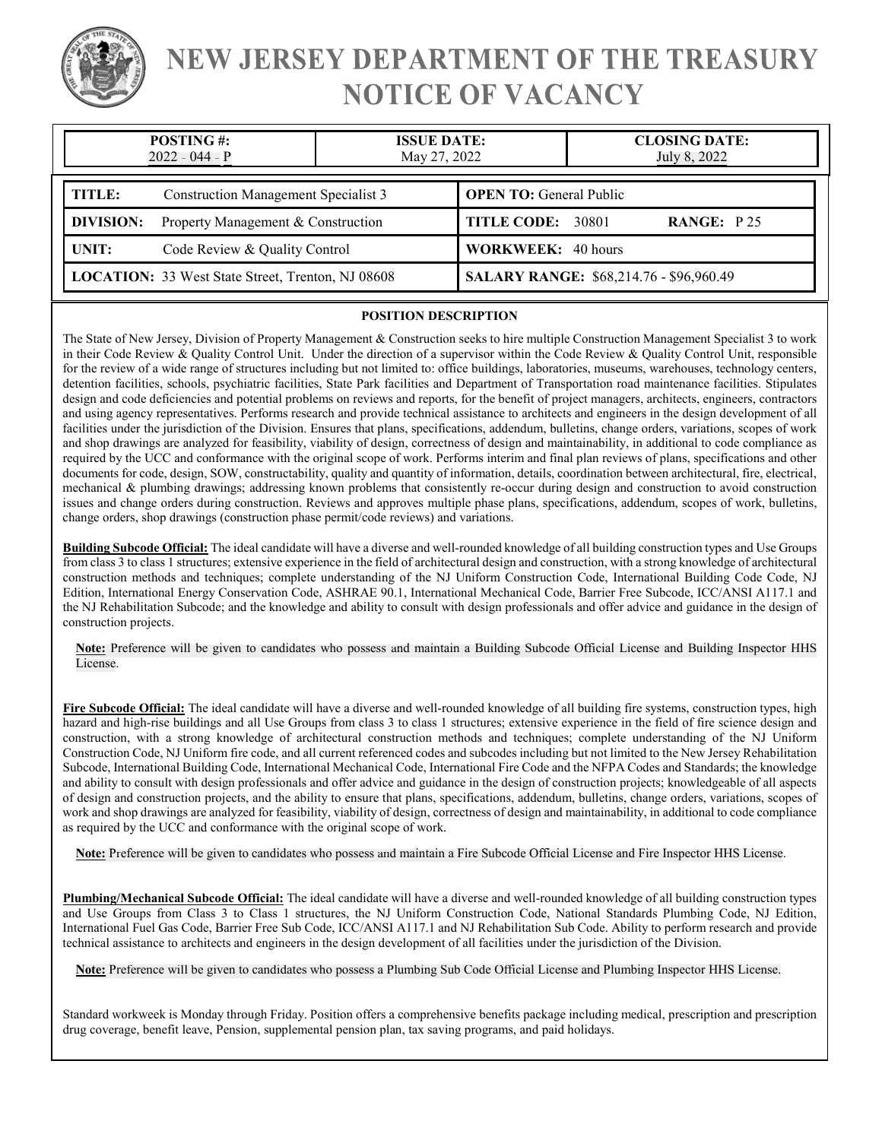

# NEW JERSEY DEPARTMENT OF THE TREASURY **NOTICE OF VACANCY**

| <b>POSTING#:</b><br>2022 - 044 - P                       |                                             | <b>ISSUE DATE:</b><br>May 27, 2022 |                                         | <b>CLOSING DATE:</b><br>July 8, 2022 |  |
|----------------------------------------------------------|---------------------------------------------|------------------------------------|-----------------------------------------|--------------------------------------|--|
| TITLE:                                                   | <b>Construction Management Specialist 3</b> |                                    | <b>OPEN TO:</b> General Public          |                                      |  |
| <b>DIVISION:</b>                                         | Property Management & Construction          |                                    | TITLE CODE: 30801                       | <b>RANGE:</b> $P25$                  |  |
| UNIT:<br>Code Review & Quality Control                   |                                             | <b>WORKWEEK: 40 hours</b>          |                                         |                                      |  |
| <b>LOCATION:</b> 33 West State Street, Trenton, NJ 08608 |                                             |                                    | SALARY RANGE: \$68,214.76 - \$96,960.49 |                                      |  |

### **POSITION DESCRIPTION**

The State of New Jersey, Division of Property Management & Construction seeks to hire multiple Construction Management Specialist 3 to work in their Code Review & Quality Control Unit. Under the direction of a supervisor within the Code Review & Quality Control Unit, responsible for the review of a wide range of structures including but not limited to: office buildings, laboratories, museums, warehouses, technology centers, detention facilities, schools, psychiatric facilities, State Park facilities and Department of Transportation road maintenance facilities. Stipulates design and code deficiencies and potential problems on reviews and reports, for the benefit of project managers, architects, engineers, contractors and using agency representatives. Performs research and provide technical assistance to architects and engineers in the design development of all facilities under the jurisdiction of the Division. Ensures that plans, specifications, addendum, bulletins, change orders, variations, scopes of work and shop drawings are analyzed for feasibility, viability of design, correctness of design and maintainability, in additional to code compliance as required by the UCC and conformance with the original scope of work. Performs interim and final plan reviews of plans, specifications and other documents for code, design, SOW, constructability, quality and quantity of information, details, coordination between architectural, fire, electrical, mechanical & plumbing drawings; addressing known problems that consistently re-occur during design and construction to avoid construction issues and change orders during construction. Reviews and approves multiple phase plans, specifications, addendum, scopes of work, bulletins, change orders, shop drawings (construction phase permit/code reviews) and variations.

**Building Subcode Official:** The ideal candidate will have a diverse and well-rounded knowledge of all building construction types and Use Groups from class 3 to class 1 structures; extensive experience in the field of architectural design and construction, with a strong knowledge of architectural construction methods and techniques; complete understanding of the NJ Uniform Construction Code, International Building Code Code, NJ Edition, International Energy Conservation Code, ASHRAE 90.1, International Mechanical Code, Barrier Free Subcode, ICC/ANSI A117.1 and the NJ Rehabilitation Subcode; and the knowledge and ability to consult with design professionals and offer advice and guidance in the design of construction projects.

Note: Preference will be given to candidates who possess and maintain a Building Subcode Official License and Building Inspector HHS License. License

**Fire Subcode Official:** The ideal candidate will have a diverse and well-rounded knowledge of all building fire systems, construction types, high hazard and high-rise buildings and all Use Groups from class 3 to class 1 structures; extensive experience in the field of fire science design and construction, with a strong knowledge of architectural construction methods and techniques; complete understanding of the NJ Uniform Construction Code, NJ Uniform fire code, and all current referenced codes and subcodes including but not limited to the New Jersey Rehabilitation Subcode, International Building Code, International Mechanical Code, International Fire Code and the NFPA Codes and Standards; the knowledge and ability to consult with design professionals and offer advice and guidance in the design of construction projects; knowledgeable of all aspects of design and construction projects, and the ability to ensure that plans, specifications, addendum, bulletins, change orders, variations, scopes of work and shop drawings are analyzed for feasibility, viability of design, correctness of design and maintainability, in additional to code compliance as required by the UCC and conformance with the original scope of work.

Note: Preference will be given to candidates who possess and maintain a Fire Subcode Official License and Fire Inspector HHS License.

**Plumbing/Mechanical Subcode Official:** The ideal candidate will have a diverse and well-rounded knowledge of all building construction types and Use Groups from Class 3 to Class 1 structures, the NJ Uniform Construction Code, National Standards Plumbing Code, NJ Edition, International Fuel Gas Code, Barrier Free Sub Code, ICC/ANSI A117.1 and NJ Rehabilitation Sub Code. Ability to perform research and provide technical assistance to architects and engineers in the design development of all facilities under the jurisdiction of the Division.

Note: Preference will be given to candidates who possess a Plumbing Sub Code Official License and Plumbing Inspector HHS License.

Standard workweek is Monday through Friday. Position offers a comprehensive benefits package including medical, prescription and prescription drug coverage, benefit leave, Pension, supplemental pension plan, tax saving programs, and paid holidays.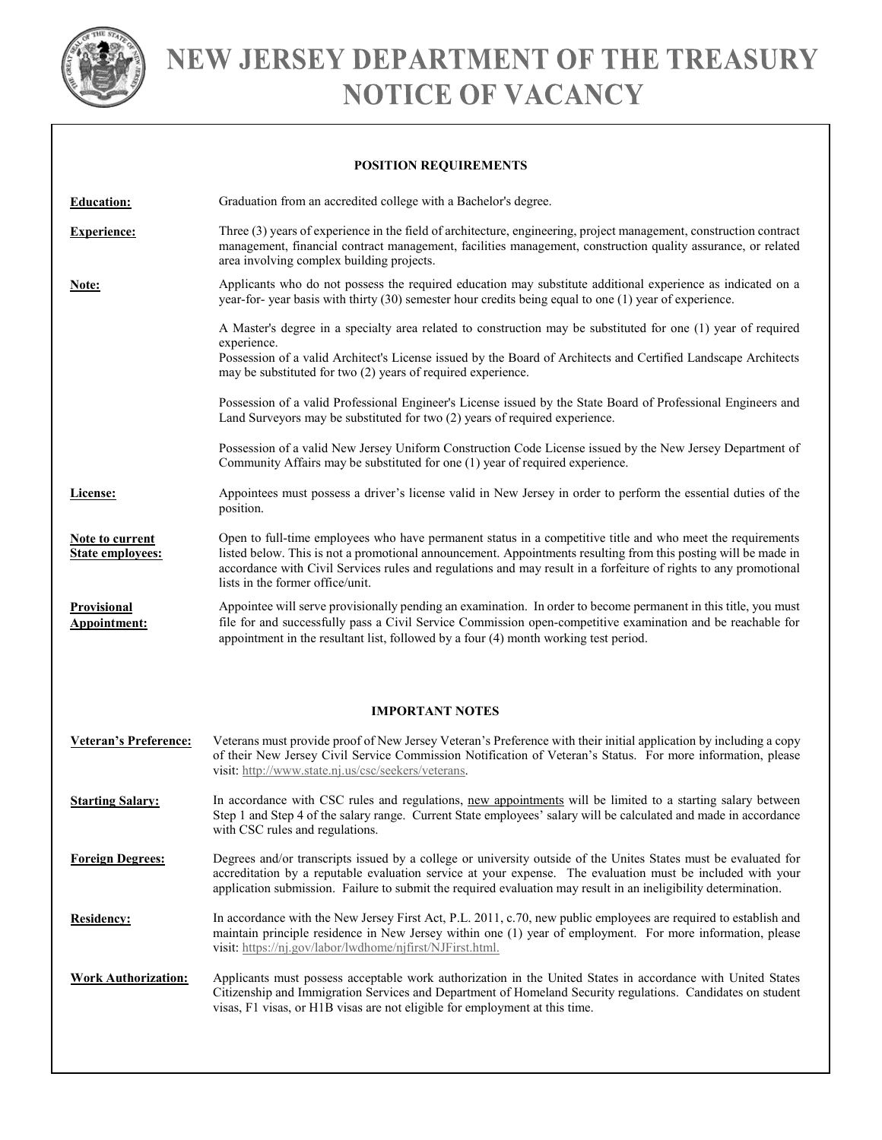

# NEW JERSEY DEPARTMENT OF THE TREASURY **NOTICE OF VACANCY**

## **POSITION REQUIREMENTS**

| <b>Education:</b>                                 | Graduation from an accredited college with a Bachelor's degree.                                                                                                                                                                                                                                                                                                                      |  |  |  |
|---------------------------------------------------|--------------------------------------------------------------------------------------------------------------------------------------------------------------------------------------------------------------------------------------------------------------------------------------------------------------------------------------------------------------------------------------|--|--|--|
| <b>Experience:</b>                                | Three (3) years of experience in the field of architecture, engineering, project management, construction contract<br>management, financial contract management, facilities management, construction quality assurance, or related<br>area involving complex building projects.                                                                                                      |  |  |  |
| Note:                                             | Applicants who do not possess the required education may substitute additional experience as indicated on a<br>year-for-year basis with thirty (30) semester hour credits being equal to one (1) year of experience.                                                                                                                                                                 |  |  |  |
|                                                   | A Master's degree in a specialty area related to construction may be substituted for one (1) year of required<br>experience.<br>Possession of a valid Architect's License issued by the Board of Architects and Certified Landscape Architects                                                                                                                                       |  |  |  |
|                                                   | may be substituted for two (2) years of required experience.                                                                                                                                                                                                                                                                                                                         |  |  |  |
|                                                   | Possession of a valid Professional Engineer's License issued by the State Board of Professional Engineers and<br>Land Surveyors may be substituted for two (2) years of required experience.                                                                                                                                                                                         |  |  |  |
|                                                   | Possession of a valid New Jersey Uniform Construction Code License issued by the New Jersey Department of<br>Community Affairs may be substituted for one (1) year of required experience.                                                                                                                                                                                           |  |  |  |
| License:                                          | Appointees must possess a driver's license valid in New Jersey in order to perform the essential duties of the<br>position.                                                                                                                                                                                                                                                          |  |  |  |
| <b>Note to current</b><br><b>State employees:</b> | Open to full-time employees who have permanent status in a competitive title and who meet the requirements<br>listed below. This is not a promotional announcement. Appointments resulting from this posting will be made in<br>accordance with Civil Services rules and regulations and may result in a forfeiture of rights to any promotional<br>lists in the former office/unit. |  |  |  |
| Provisional<br>Appointment:                       | Appointee will serve provisionally pending an examination. In order to become permanent in this title, you must<br>file for and successfully pass a Civil Service Commission open-competitive examination and be reachable for<br>appointment in the resultant list, followed by a four (4) month working test period.                                                               |  |  |  |
| <b>IMPORTANT NOTES</b>                            |                                                                                                                                                                                                                                                                                                                                                                                      |  |  |  |
| <b>Veteran's Preference:</b>                      | Veterans must provide proof of New Jersey Veteran's Preference with their initial application by including a copy<br>of their New Jersey Civil Service Commission Notification of Veteran's Status. For more information, please<br>visit: http://www.state.nj.us/csc/seekers/veterans.                                                                                              |  |  |  |
| <b>Starting Salary:</b>                           | In accordance with CSC rules and regulations, new appointments will be limited to a starting salary between<br>Step 1 and Step 4 of the salary range. Current State employees' salary will be calculated and made in accordance<br>with CSC rules and regulations.                                                                                                                   |  |  |  |
| <b>Foreign Degrees:</b>                           | Degrees and/or transcripts issued by a college or university outside of the Unites States must be evaluated for<br>accreditation by a reputable evaluation service at your expense. The evaluation must be included with your<br>application submission. Failure to submit the required evaluation may result in an ineligibility determination.                                     |  |  |  |
| <b>Residency:</b>                                 | In accordance with the New Jersey First Act, P.L. 2011, c.70, new public employees are required to establish and<br>maintain principle residence in New Jersey within one (1) year of employment. For more information, please<br>visit: https://nj.gov/labor/lwdhome/njfirst/NJFirst.html.                                                                                          |  |  |  |
| <b>Work Authorization:</b>                        | Applicants must possess acceptable work authorization in the United States in accordance with United States<br>Citizenship and Immigration Services and Department of Homeland Security regulations. Candidates on student<br>visas, F1 visas, or H1B visas are not eligible for employment at this time.                                                                            |  |  |  |
|                                                   |                                                                                                                                                                                                                                                                                                                                                                                      |  |  |  |